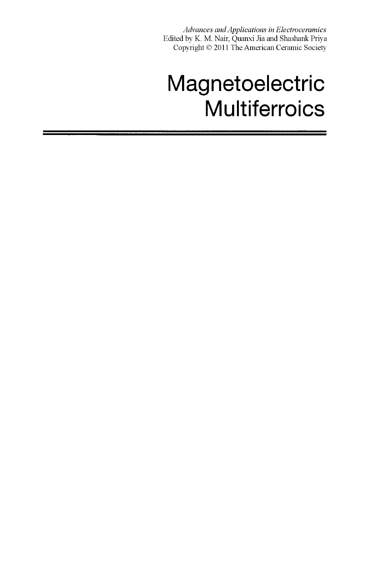*Advances and Applications in Electroceramics*  Edited by K. M. Nair, Quanxi Jia and Shashank Priya Copyright © 2011 The American Ceramic Society

# Magnetoelectric **Multiferroics**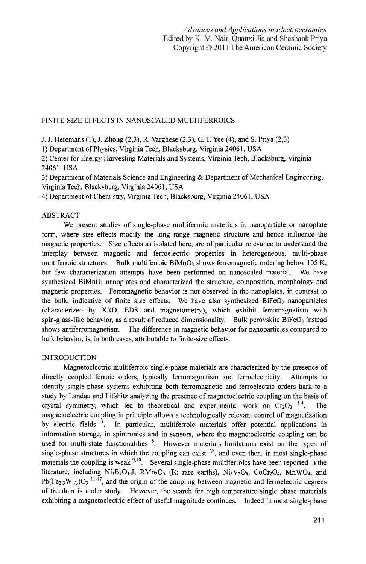# FINITE-SIZE EFFECTS IN NANOSCALED MULTIFERROICS

J. J. Heremans (1), J. Zhong (2,3), R. Varghese (2,3), G. T Yee (4), and S. Priya (2,3)

1) Department of Physics, Virginia Tech, Blacksburg, Virginia 24061, USA

2) Center for Energy Harvesting Materials and Systems, Virginia Tech, Blacksburg, Virginia 24061, USA

3) Department of Materials Science and Engineering & Department of Mechanical Engineering, Virginia Tech, Blacksburg, Virginia 24061, USA

4) Department of Chemistry, Virginia Tech, Blacksburg, Virginia 24061, USA

# ABSTRACT

We present studies of single-phase multiferroic materials in nanoparticle or nanoplate form, where size effects modify the long range magnetic structure and hence influence the magnetic properties. Size effects as isolated here, are of particular relevance to understand the interplay between magnetic and ferroelectric properties in heterogeneous, multi-phase multiferroic structures. Bulk multiferroic  $\text{BiMnO}_3$  shows ferromagnetic ordering below 105 K, but few characterization attempts have been performed on nanoscaled material. We have synthesized  $\text{BiMnO}_3$  nanoplates and characterized the structure, composition, morphology and magnetic properties. Ferromagnetic behavior is not observed in the nanoplates, in contrast to the bulk, indicative of finite size effects. We have also synthesized BiFeO<sub>3</sub> nanoparticles (characterized by XRD, EDS and magnetometry), which exhibit ferromagnetism with spin-glass-like behavior, as a result of reduced dimensionality. Bulk perovskite BiFe $O<sub>3</sub>$  instead shows antiferromagnetism. The difference in magnetic behavior for nanoparticles compared to bulk behavior, is, in both cases, attributable to finite-size effects.

# **INTRODUCTION**

Magnetoelectric multiferroic single-phase materials are characterized by the presence of directly coupled ferroic orders, typically ferromagnetism and ferroelectricity. Attempts to identify single-phase systems exhibiting both ferromagnetic and ferroelectric orders hark to a study by Landau and Lifshitz analyzing the presence of magnetoelectric coupling on the basis of crystal symmetry, which led to theoretical and experimental work on  $Cr_2O_3$ <sup>1</sup> . The magnetoelectric coupling in principle allows a technologically relevant control of magnetization by electric fields  $\frac{3}{5}$ . In particular, multiferroic materials offer potential applications in information storage, in spintronics and in sensors, where the magnetoelectric coupling can be used for multi-state functionalities <sup>6</sup>. However materials limitations exist on the types of single-phase structures in which the coupling can exist  $^{7,8}$ , and even then, in most single-phase materials the coupling is weak  $9,10$ . Several single-phase multiferroics have been reported in the literature, including  $Ni<sub>3</sub>B<sub>7</sub>O<sub>13</sub>I$ ,  $RMn<sub>2</sub>O<sub>5</sub>$  (R: rare earths),  $Ni<sub>3</sub>V<sub>2</sub>O<sub>8</sub>$ ,  $CoCr<sub>2</sub>O<sub>4</sub>$ ,  $MnWO<sub>4</sub>$ , and  $Pb(Fe_{2/3}W_{1/3})Q_3$ <sup>11-17</sup>, and the origin of the coupling between magnetic and ferroelectric degrees of freedom is under study. However, the search for high temperature single phase materials exhibiting a magnetoelectric effect of useful magnitude continues. Indeed in most single-phase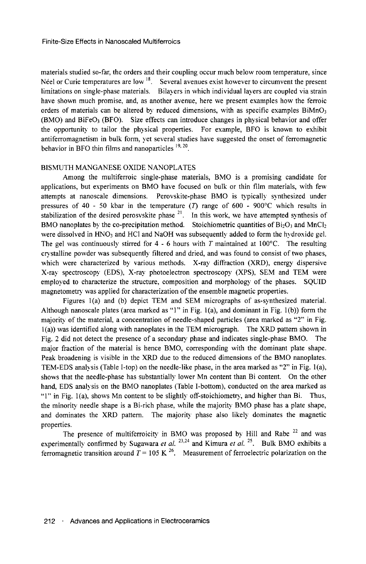materials studied so-far, the orders and their coupling occur much below room temperature, since Néel or Curie temperatures are low  $<sup>18</sup>$ . Several avenues exist however to circumvent the present</sup> limitations on single-phase materials. Bilayers in which individual layers are coupled via strain have shown much promise, and, as another avenue, here we present examples how the ferroic orders of materials can be altered by reduced dimensions, with as specific examples  $\text{BiMnO}_3$  $(BMO)$  and BiFeO<sub>3</sub> (BFO). Size effects can introduce changes in physical behavior and offer the opportunity to tailor the physical properties. For example, BFO is known to exhibit antiferromagnetism in bulk form, yet several studies have suggested the onset of ferromagnetic behavior in BFO thin films and nanoparticles  $19, 20$ .

#### BISMUTH MANGANESE OXIDE NANOPLATES

Among the multiferroic single-phase materials, BMO is a promising candidate for applications, but experiments on BMO have focused on bulk or thin film materials, with few attempts at nanoscale dimensions. Perovskite-phase BMO is typically synthesized under pressures of 40 - 50 kbar in the temperature (T) range of 600 - 900 °C which results in stabilization of the desired perosvskite phase  $2<sup>1</sup>$ . In this work, we have attempted synthesis of BMO nanoplates by the co-precipitation method. Stoichiometric quantities of  $Bi_2O_3$  and MnCl<sub>2</sub> were dissolved in  $HNO<sub>3</sub>$  and  $HCl$  and NaOH was subsequently added to form the hydroxide gel. The gel was continuously stirred for 4 - 6 hours with *T* maintained at 100°C. The resulting crystalline powder was subsequently filtered and dried, and was found to consist of two phases, which were characterized by various methods. X-ray diffraction (XRD), energy dispersive X-ray spectroscopy (EDS), X-ray photoelectron spectroscopy (XPS), SEM and TEM were employed to characterize the structure, composition and morphology of the phases. SQUID magnetometry was applied for characterization of the ensemble magnetic properties.

Figures 1(a) and (b) depict TEM and SEM micrographs of as-synthesized material. Although nanoscale plates (area marked as "1" in Fig.  $1(a)$ , and dominant in Fig.  $1(b)$ ) form the majority of the material, a concentration of needle-shaped particles (area marked as "2" in Fig. 1(a)) was identified along with nanoplates in the TEM micrograph. The XRD pattern shown in Fig. 2 did not detect the presence of a secondary phase and indicates single-phase BMO. The major fraction of the material is hence BMO, corresponding with the dominant plate shape. Peak broadening is visible in the XRD due to the reduced dimensions of the BMO nanoplates. TEM-EDS analysis (Table I-top) on the needle-like phase, in the area marked as "2" in Fig. 1(a), shows that the needle-phase has substantially lower Mn content than Bi content. On the other hand, EDS analysis on the BMO nanoplates (Table I-bottom), conducted on the area marked as "1" in Fig. 1(a), shows Mn content to be slightly off-stoichiometry, and higher than Bi. Thus, the minority needle shape is a Bi-rich phase, while the majority BMO phase has a plate shape, and dominates the XRD pattern. The majority phase also likely dominates the magnetic properties.

The presence of multiferroicity in BMO was proposed by Hill and Rabe  $22$  and was experimentally confirmed by Sugawara *et al.* <sup>23,24</sup> and Kimura *et al.* <sup>25</sup>. Bulk BMO exhibits a ferromagnetic transition around  $T = 105 \text{ K}^{26}$ . Measurement of ferroelectric polarization on the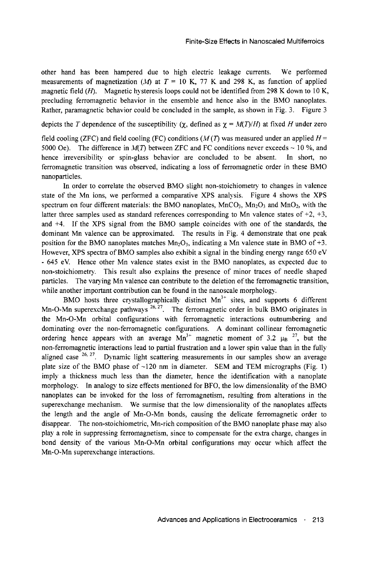other hand has been hampered due to high electric leakage currents. We performed measurements of magnetization *(M)* at  $T = 10$  K, 77 K and 298 K, as function of applied magnetic field *(H).* Magnetic hysteresis loops could not be identified from 298 K down to 10 K, precluding ferromagnetic behavior in the ensemble and hence also in the BMO nanoplates. Rather, paramagnetic behavior could be concluded in the sample, as shown in Fig. 3. Figure 3

depicts the *T* dependence of the susceptibility ( $\chi$ , defined as  $\chi = M(T)/H$ ) at fixed *H* under zero

field cooling (ZFC) and field cooling (FC) conditions  $(M(T)$  was measured under an applied  $H=$ 5000 Oe). The difference in  $M(T)$  between ZFC and FC conditions never exceeds  $\sim$  10 %, and hence irreversibility or spin-glass behavior are concluded to be absent. In short, no ferromagnetic transition was observed, indicating a loss of ferromagnetic order in these BMO nanoparticles.

In order to correlate the observed BMO slight non-stoichiometry to changes in valence state of the Mn ions, we performed a comparative XPS analysis. Figure 4 shows the XPS spectrum on four different materials: the BMO nanoplates,  $MnCO<sub>3</sub>$ ,  $Mn<sub>2</sub>O<sub>3</sub>$  and  $MnO<sub>2</sub>$ , with the latter three samples used as standard references corresponding to Mn valence states of  $+2$ ,  $+3$ , and +4. If the XPS signal from the BMO sample coincides with one of the standards, the dominant Mn valence can be approximated. The results in Fig. 4 demonstrate that one peak position for the BMO nanoplates matches  $Mn_2O_3$ , indicating a Mn valence state in BMO of +3. However, XPS spectra of BMO samples also exhibit a signal in the binding energy range 650 eV - 645 eV. Hence other Mn valence states exist in the BMO nanoplates, as expected due to non-stoichiometry. This result also explains the presence of minor traces of needle shaped particles. The varying Mn valence can contribute to the deletion of the ferromagnetic transition, while another important contribution can be found in the nanoscale morphology.

BMO hosts three crystallographically distinct  $Mn^{3+}$  sites, and supports 6 different Mn-O-Mn superexchange pathways <sup>26, 27</sup>. The ferromagnetic order in bulk BMO originates in the Mn-O-Mn orbital configurations with ferromagnetic interactions outnumbering and dominating over the non-ferromagnetic configurations. A dominant collinear ferromagnetic ordering hence appears with an average  $Mn^{3+}$  magnetic moment of 3.2  $\mu_B$  <sup>27</sup>, but the non-ferromagnetic interactions lead to partial frustration and a lower spin value than in the fully aligned case  $26, 27$ . Dynamic light scattering measurements in our samples show an average plate size of the BMO phase of  $\sim$ 120 nm in diameter. SEM and TEM micrographs (Fig. 1) imply a thickness much less than the diameter, hence the identification with a nanoplate morphology. In analogy to size effects mentioned for BFO, the low dimensionality of the BMO nanoplates can be invoked for the loss of ferromagnetism, resulting from alterations in the superexchange mechanism. We surmise that the low dimensionality of the nanoplates affects the length and the angle of Mn-O-Mn bonds, causing the delicate ferromagnetic order to disappear. The non-stoichiometric, Mn-rich composition of the BMO nanoplate phase may also play a role in suppressing ferromagnetism, since to compensate for the extra charge, changes in bond density of the various Mn-O-Mn orbital configurations may occur which affect the Mn-O-Mn superexchange interactions.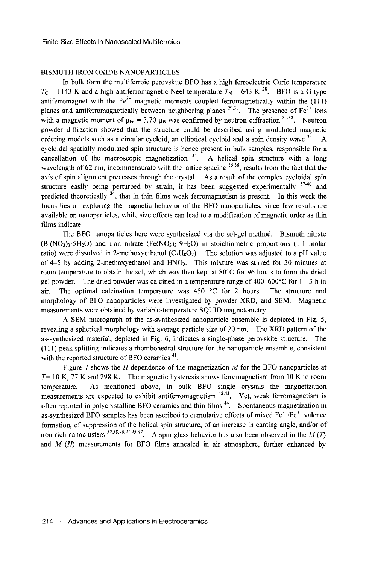## BISMUTH IRON OXIDE NANOPARTICLES

In bulk form the multiferroic perovskite BFO has a high ferroelectric Curie temperature  $T_c = 1143$  K and a high antiferromagnetic Néel temperature  $T_N = 643$  K <sup>28</sup>. BFO is a G-type antiferromagnet with the  $Fe<sup>3+</sup>$  magnetic moments coupled ferromagnetically within the (111) planes and antiferromagnetically between neighboring planes  $^{29,30}$ . The presence of Fe<sup>3+</sup> ions with a magnetic moment of  $\mu_{Fe} = 3.70 \mu_B$  was confirmed by neutron diffraction  $3^{1,32}$ . Neutron powder diffraction showed that the structure could be described using modulated magnetic ordering models such as a circular cycloid, an elliptical cycloid and a spin density wave  $^{33}$ . A cycloidal spatially modulated spin structure is hence present in bulk samples, responsible for a cancellation of the macroscopic magnetization  $34$ . A helical spin structure with a long wavelength of 62 nm, incommensurate with the lattice spacing  $35,36$ , results from the fact that the axis of spin alignment precesses through the crystal. As a result of the complex cycloidal spin structure easily being perturbed by strain, it has been suggested experimentally  $37-40$  and predicted theoretically  $34$ , that in thin films weak ferromagnetism is present. In this work the focus lies on exploring the magnetic behavior of the BFO nanoparticles, since few results are available on nanoparticles, while size effects can lead to a modification of magnetic order as thin films indicate.

The BFO nanoparticles here were synthesized via the sol-gel method. Bismuth nitrate  $(Bi(NO<sub>3</sub>)<sub>3</sub>·5H<sub>2</sub>O)$  and iron nitrate  $(Fe(NO<sub>3</sub>)<sub>3</sub>·9H<sub>2</sub>O)$  in stoichiometric proportions (1:1 molar ratio) were dissolved in 2-methoxyethanol ( $C_3H_8O_2$ ). The solution was adjusted to a pH value of  $4-5$  by adding 2-methoxyethanol and  $HNO<sub>3</sub>$ . This mixture was stirred for 30 minutes at room temperature to obtain the sol, which was then kept at 80°C for 96 hours to form the dried gel powder. The dried powder was calcined in a temperature range of 400–600 $^{\circ}$ C for 1 - 3 h in air. The optimal calcination temperature was 450  $^{\circ}$ C for 2 hours. The structure and morphology of BFO nanoparticles were investigated by powder XRD, and SEM. Magnetic measurements were obtained by variable-temperature SQUID magnetometry.

A SEM micrograph of the as-synthesized nanoparticle ensemble is depicted in Fig. 5, revealing a spherical morphology with average particle size of 20 nm. The XRD pattern of the as-synthesized material, depicted in Fig. 6, indicates a single-phase perovskite structure. The (111) peak splitting indicates a rhombohedral structure for the nanoparticle ensemble, consistent with the reported structure of BFO ceramics<sup>41</sup>.

Figure 7 shows the *H* dependence of the magnetization *M* for the BFO nanoparticles at *T=* 10 K, 77 K and 298 K. The magnetic hysteresis shows ferromagnetism from 10 K to room temperature. As mentioned above, in bulk BFO single crystals the magnetization measurements are expected to exhibit antiferromagnetism  $42.4\overline{3}$ . Yet, weak ferromagnetism is often reported in polycrystalline BFO ceramics and thin films<sup>44</sup>. Spontaneous magnetization in as-synthesized BFO samples has been ascribed to cumulative effects of mixed  $Fe^{2+}/Fe^{3+}$  valence formation, of suppression of the helical spin structure, of an increase in canting angle, and/or of iron-rich nanoclusters <sup>37,38,40,41,45-47</sup>. A spin-glass behavior has also been observed in the *M(T)* and *M (H)* measurements for BFO films annealed in air atmosphere, further enhanced by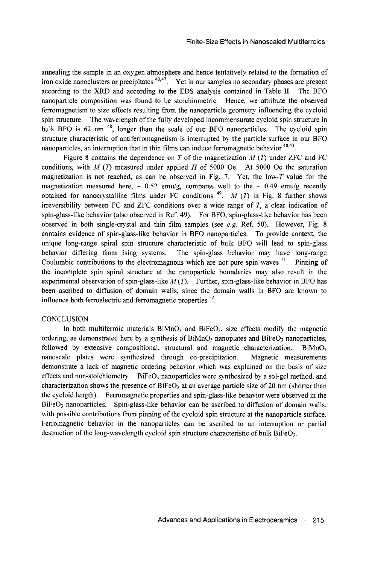annealing the sample in an oxygen atmosphere and hence tentatively related to the formation of iron oxide nanoclusters or precipitates <sup>40,47</sup>. Yet in our samples no secondary phases are present according to the XRD and according to the EDS analysis contained in Table II. The BFO nanoparticle composition was found to be stoichiometric. Hence, we attribute the observed ferromagnetism to size effects resulting from the nanoparticle geometry influencing the cycloid spin structure. The wavelength of the fully developed incommensurate cycloid spin structure in bulk BFO is 62 nm<sup>48</sup>, longer than the scale of our BFO nanoparticles. The cycloid spin structure characteristic of antiferromagnetism is interrupted by the particle surface in our BFO nanoparticles, an interruption that in thin films can induce ferromagnetic behavior <sup>40,43</sup>.

Figure 8 contains the dependence on *T* of the magnetization *M* (7) under ZFC and FC conditions, with *M* (7) measured under applied *H* of 5000 Oe. At 5000 Oe the saturation magnetization is not reached, as can be observed in Fig. 7. Yet, the low-T value for the magnetization measured here,  $\sim 0.52$  emu/g, compares well to the  $\sim 0.49$  emu/g recentlyobtained for nanocrystalline films under FC conditions<sup>49</sup>. *M* (*T*) in Fig. 8 further shows irreversibility between FC and ZFC conditions over a wide range of *T,* a clear indication of spin-glass-like behavior (also observed in Ref. 49). For BFO, spin-glass-like behavior has been observed in both single-crystal and thin film samples (see *e.g.* Ref. 50). However, Fig. 8 contains evidence of spin-glass-like behavior in BFO nanoparticles. To provide context, the unique long-range spiral spin structure characteristic of bulk BFO will lead to spin-glass behavior differing from Ising systems. The spin-glass behavior may have long-range Coulumbic contributions to the electromagnons which are not pure spin waves  $51$ . Pinning of the incomplete spin spiral structure at the nanoparticle boundaries may also result in the experimental observation of spin-glass-like *M(T).* Further, spin-glass-like behavior in BFO has been ascribed to diffusion of domain walls, since the domain walls in BFO are known to influence both ferroelectric and ferromagnetic properties  $52$ 

# **CONCLUSION**

In both multiferroic materials  $\sinh 0$ <sub>3</sub> and  $\sinh 0$ <sub>3</sub>, size effects modify the magnetic ordering, as demonstrated here by a synthesis of  $BiMnO<sub>3</sub>$  nanoplates and  $BiFeO<sub>3</sub>$  nanoparticles, followed by extensive compositional, structural and magnetic characterization. BiMnO<sub>3</sub> nanoscale plates were synthesized through co-precipitation. Magnetic measurements demonstrate a lack of magnetic ordering behavior which was explained on the basis of size effects and non-stoichiometry. BiFeO<sub>3</sub> nanoparticles were synthesized by a sol-gel method, and characterization shows the presence of  $BiFeO<sub>3</sub>$  at an average particle size of 20 nm (shorter than the cycloid length). Ferromagnetic properties and spin-glass-like behavior were observed in the BiFe03 nanoparticles. Spin-glass-like behavior can be ascribed to diffusion of domain walls, with possible contributions from pinning of the cycloid spin structure at the nanoparticle surface. Ferromagnetic behavior in the nanoparticles can be ascribed to an interruption or partial destruction of the long-wavelength cycloid spin structure characteristic of bulk BiFeO<sub>3</sub>.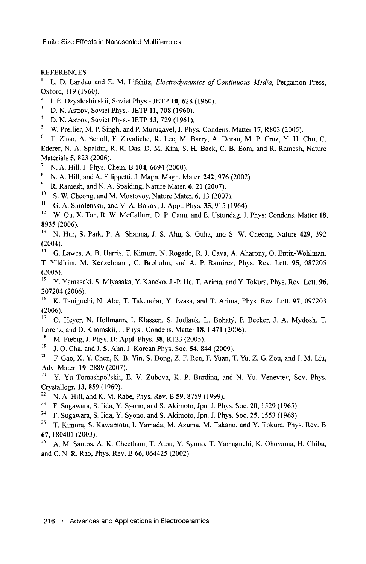# REFERENCES

L. D. Landau and E. M. Lifshitz, *Electrodynamics of Continuous Media,* Pergamon Press, Oxford, 119 (1960).

- <sup>2</sup> I. E. Dzyaloshinskii, Soviet Phys.- JETP 10, 628 (1960).
- D. N. Astrov, Soviet Phys.- JETP **11,** 708 (1960). 4
- $^{4}$  D. N. Astrov, Soviet Phys.- JETP 13, 729 (1961).
- <sup>5</sup> W. Prellier, M. P. Singh, and P. Murugavel, J. Phys. Condens. Matter 17, R803 (2005).<br><sup>6</sup> T. Zhao, A. Scholl, E. Zavaliche, K. Lee, M. Barry, A. Doran, M. B. Cruz, X. H. *4*

 T. Zhao, A. Scholl, F. Zavaliche, K. Lee, M. Barry, A. Doran, M. P. Cruz, Y. H. Chu, C. Ederer, N. A. Spaldin, R. R. Das, D. M. Kim, S. H. Baek, C. B. Eom, and R. Ramesh, Nature Materials 5, 823 (2006).

- N. A. Hill, J. Phys. Chem. B **104,** 6694 (2000). 8
- <sup>8</sup> N. A. Hill, and A. Filippetti, J. Magn. Magn. Mater. **242**, 976 (2002).
- <sup>9</sup> R. Ramesh, and N. A. Spalding, Nature Mater. 6, 21 (2007).
- <sup>10</sup> S. W. Cheong, and M. Mostovoy, Nature Mater. 6, 13 (2007).
- G. A. Smolenskii, and V. A. Bokov, J. Appl. Phys. 35, 915 (1964).
- <sup>12</sup> W. Qu, X. Tan, R. W. McCallum, D. P. Cann, and E. Ustundag, J. Phys: Condens. Matter 18, 8935 (2006). 13
- <sup>13</sup> N. Hur, S. Park, P. A. Sharma, J. S. Ahn, S. Guha, and S. W. Cheong, Nature 429, 392  $(2004)$ .
- G. Lawes, A. B. Harris, T. Kimura, N. Rogado, R. J. Cava, A. Aharony, O. Entin-Wohlman, T. Yildirim, M. Kenzelmann, C. Broholm, and A. P. Ramirez, Phys. Rev. Lett. 95, 087205  $(2005)$ .

 Y. Yamasaki, S. Miyasaka, Y. Kaneko, J.-P. He, T. Arima, and Y. Tokura, Phys. Rev. Lett. 96, 207204 (2006).<br><sup>16</sup> K Tanjouc

- K. Taniguchi, N. Abe, T. Takenobu, Y. Iwasa, and T. Arima, Phys. Rev. Lett. 97, 097203  $(2006)$ .
- O. Heyer, N. Hollmann, I. Klassen, S. Jodlauk, L. Bohaty, P. Becker, J. A. Mydosh, T. Lorenz, and D. Khomskii, J. Phys.: Condens. Matter 18, L471 (2006).
- <sup>18</sup> M. Fiebig, J. Phys. D: Appl. Phys. **38**, R123 (2005).
- $J<sup>19</sup>$  J. O. Cha, and J. S. Ahn, J. Korean Phys. Soc. 54, 844 (2009).<br><sup>20</sup> E. Gao, X. X. Chen, K. B. Vin, S. Dong, Z. E. Ren, E. Vuan, T.
- F. Gao, X. Y. Chen, K. B. Yin, S. Dong, Z. F. Ren, F. Yuan, T. Yu, Z. G. Zou, and J. M. Liu, Adv. Mater. **19**, 2889 (2007).
- Y. Yu Tomashpol'skii, E. V. Zubova, K. P. Burdina, and N. Yu. Venevtev, Sov. Phys. Crystallogr. 13, 859 (1969).<br> $^{22}$  N. A. Hill, and K. M. B.
- <sup>22</sup> N. A. Hill, and K. M. Rabe, Phys. Rev. B 59, 8759 (1999).<br><sup>23</sup> E. Sugawara, S. Jida, Y. Syono, and S. Akimoto, Jnn. J. Ph
- F. Sugawara, S. Iida, Y. Syono, and S. Akimoto, Jpn. J. Phys. Soc. **20,** 1529 (1965). 24
- F. Sugawara, S. Iida, Y. Syono, and S. Akimoto, Jpn. J. Phys. Soc. 25, 1553 (1968). 25
- <sup>25</sup> T. Kimura, S. Kawamoto, I. Yamada, M. Azuma, M. Takano, and Y. Tokura, Phys. Rev. B 67, 180401 (2003).<br> $^{26}$  A M Santos
- A. M. Santos, A. K. Cheetham, T. Atou, Y. Syono, T. Yamaguchi, K. Ohoyama, H. Chiba, and C. N. R. Rao, Phys. Rev. B 66, 064425 (2002).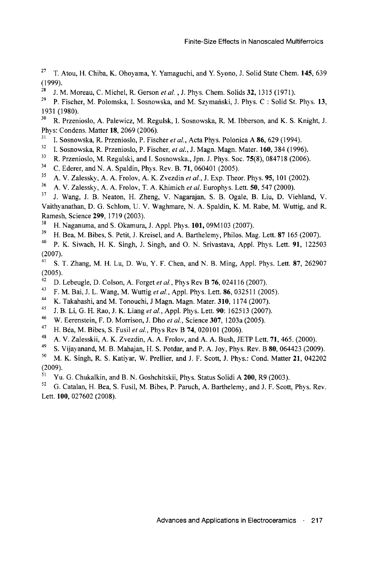- 27 T. Atou, H. Chiba, K. Ohoyama, Y Yamaguchi, and Y Syono, J. Solid State Chem. **145,** 639 (1999).
- 28 J. M. Moreau, C. Michel, R. Gerson *et al.* , J. Phys. Chem. Solids **32,** 1315 (1971).
- 29 P. Fischer, M. Polomska, I. Sosnowska, and M. Szymañski, J. Phys. C : Solid St. Phys. **13,**  1931 (1980).
- 30 R. Przenioslo, A. Palewicz, M. Regulsk, I. Sosnowska, R. M. Ibberson, and K. S. Knight, J. Phys: Condens. Matter 18, 2069 (2006).
- 31 I. Sosnowska, R. Przenioslo, P. Fischer *et al,* Acta Phys. Polonica A 86, 629 (1994).
- 32 I. Sosnowska, R. Przenioslo, P. Fischer, *et al,* J. Magn. Magn. Mater. **160,** 384 (1996).
- 33 R. Przenioslo, M. Regulski, and I. Sosnowska., Jpn. J. Phys. Soc. 75(8), 084718 (2006).
- 34 C. Ederer, and N. A. Spaldin, Phys. Rev. B. **71,** 060401 (2005).
- **35**  A. V. Zalessky, A. A. Frolov, A. K. Zvezdin *et al,* J. Exp. Theor. Phys. **95,** 101 (2002).
- 36 A. V. Zalessky, A. A. Frolov, T. A. Khimich *et al.* Europhys. Lett. **50,** 547 (2000).
- 37 J. Wang, J. B. Neaton, H. Zheng, V. Nagarajan, S. B. Ogale, B. Liu, D. Viehland, V. Vaithvanathan, D. G. Schlom, U. V. Waghmare, N. A. Spaldin, K. M. Rabe, M. Wuttig, and R. Ramesh, Science **299,** 1719 (2003).
- 38 H. Naganuma, and S. Okamura, J. Appl. Phys. **101,** 09M103 (2007).
- 39 H. Bea, M. Bibes, S. Petit, J. Kreisel, and A. Barthelemy, Philos. Mag. Lett. 87 165 (2007).
- 40 P. K. Siwach, H. K. Singh, J. Singh, and O. N. Srivastava, Appl. Phys. Lett. **91,** 122503 (2007).
- 41 S. T. Zhang, M. H. Lu, D. Wu, Y. F. Chen, and N. B. Ming, Appl. Phys. Lett. 87, 262907 (2005).
- 42 D. Lebeugle, D. Colson, A. Forget *et al.,* Phys Rev B **76,** 024116 (2007).
- 43 F. M. Bai, J. L. Wang, M. Wuttig *et al,* Appl. Phys. Lett. 86, 032511 (2005).
- **44**  K. Takahashi, and M. Tonouchi, J Magn. Magn. Mater. **310,** 1174 (2007).
- **45**  J. B. Li, G. H. Rao, J. K. Liang *etal,* Appl. Phys. Lett. **90:** 162513 (2007).
- 46 W. Eerenstein, F. D. Morrison, J. Dho *et al,* Science **307,** 1203a (2005).
- 47 H. Béa, M. Bibes, S. Fusil *et al,* Phys Rev B **74,** 020101 (2006).
- 48 A. V. Zalesskii, A. K. Zvezdin, A. A. Frolov, and A. A. Bush, JETP Lett. **71,** 465. (2000).
- 49 S. Vijayanand, M. B. Mahajan, H. S. Potdar, and P. A. Joy, Phys. Rev. B 80, 064423 (2009).
- 50 M. K. Singh, R. S. Katiyar, W. Prellier, and J. F. Scott, J. Phys.: Cond. Matter **21,** 042202 (2009).
- 51 Yu. G. Chukalkin, and B. N. Goshchitskii, Phys. Status Solidi A **200,** R9 (2003).
- 52 G. Catalan, H. Bea, S. Fusil, M. Bibes, P. Paruch, A. Barthelemy, and J. F. Scott, Phys. Rev. Lett. **100,** 027602 (2008).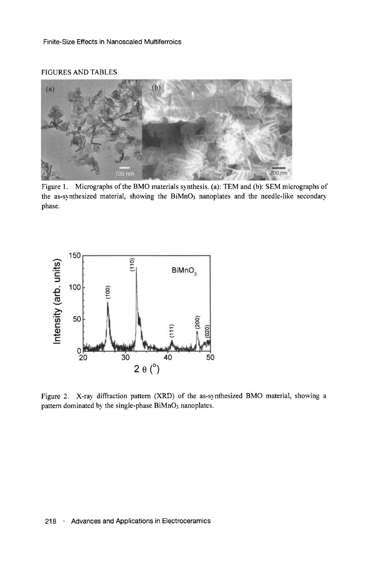# FIGURES AND TABLES



Figure 1. Micrographs of the BMO materials synthesis, (a): TEM and (b): SEM micrographs of the as-synthesized material, showing the BiMnO3 nanoplates and the needle-like secondary phase.



Figure 2. X-ray diffraction pattern (XRD) of the as-synthesized BMO material, showing a pattern dominated by the single-phase BiMnO<sub>3</sub> nanoplates.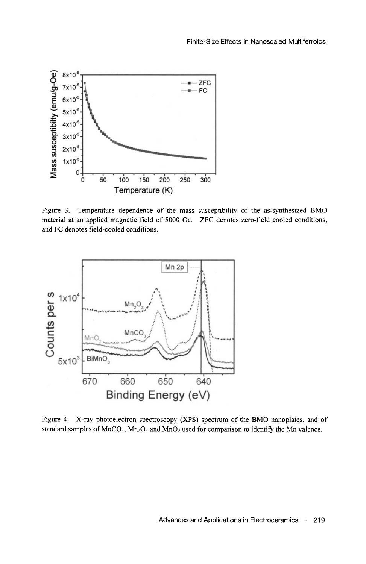

Figure 3. Temperature dependence of the mass susceptibility of the as-synthesized BMO material at an applied magnetic field of 5000 Oe. ZFC denotes zero-field cooled conditions, and FC denotes field-cooled conditions.



Figure 4. X-ray photoelectron spectroscopy (XPS) spectrum of the BMO nanoplates, and of standard samples of  $MnCO<sub>3</sub>, Mn<sub>2</sub>O<sub>3</sub>$  and  $MnO<sub>2</sub>$  used for comparison to identify the Mn valence.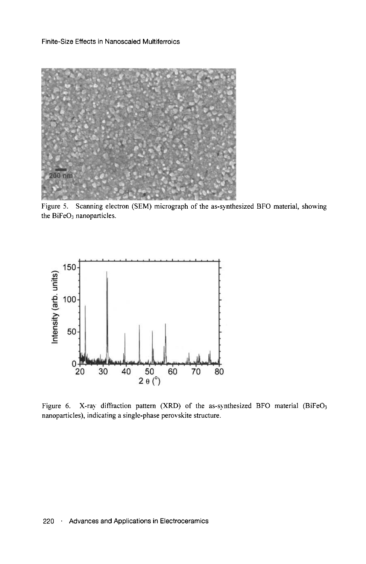Finite-Size Effects in Nanoscaled Multiferroics



Figure 5. Scanning electron (SEM) micrograph of the as-synthesized BFO material, showing the  $BiFeO<sub>3</sub>$  nanoparticles.



Figure 6. X-ray diffraction pattern (XRD) of the as-synthesized BFO material (BiFeO<sub>3</sub> nanoparticles), indicating a single-phase perovskite structure.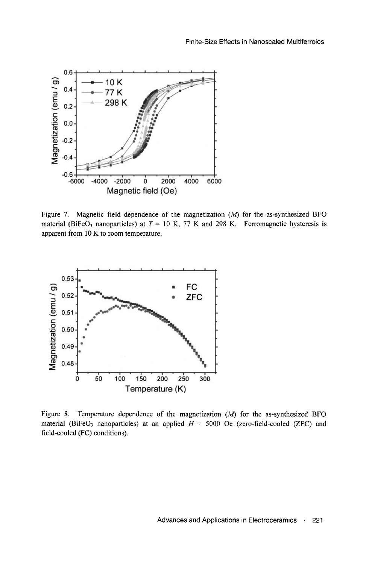

Figure 7. Magnetic field dependence of the magnetization *(M)* for the as-synthesized BFO material (BiFeO<sub>3</sub> nanoparticles) at  $T = 10$  K, 77 K and 298 K. Ferromagnetic hysteresis is apparent from 10 K to room temperature.



Figure 8. Temperature dependence of the magnetization *(M)* for the as-synthesized BFO material (BiFeO<sub>3</sub> nanoparticles) at an applied  $H = 5000$  Oe (zero-field-cooled (ZFC) and field-cooled (FC) conditions).